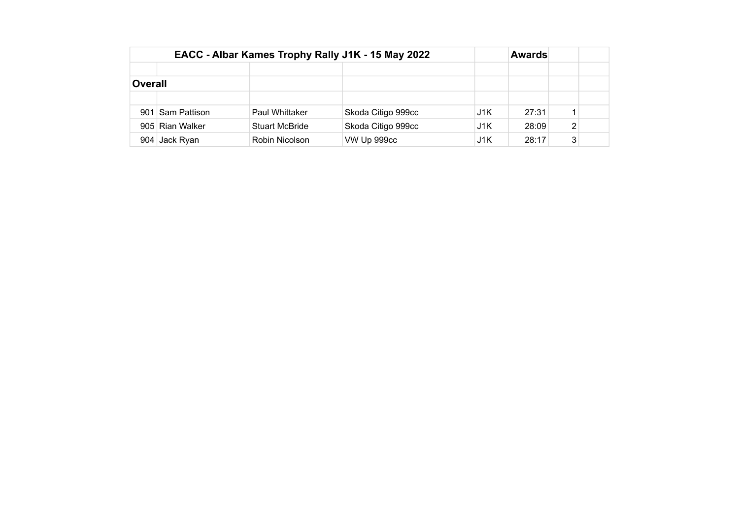|                |                  | EACC - Albar Kames Trophy Rally J1K - 15 May 2022 |                    | <b>Awards</b> |       |                |  |
|----------------|------------------|---------------------------------------------------|--------------------|---------------|-------|----------------|--|
|                |                  |                                                   |                    |               |       |                |  |
| <b>Overall</b> |                  |                                                   |                    |               |       |                |  |
|                |                  |                                                   |                    |               |       |                |  |
|                | 901 Sam Pattison | <b>Paul Whittaker</b>                             | Skoda Citigo 999cc | J1K           | 27:31 |                |  |
|                | 905 Rian Walker  | <b>Stuart McBride</b>                             | Skoda Citigo 999cc | J1K           | 28:09 | $\overline{2}$ |  |
|                | 904 Jack Ryan    | Robin Nicolson                                    | VW Up 999cc        | J1K           | 28:17 | 3              |  |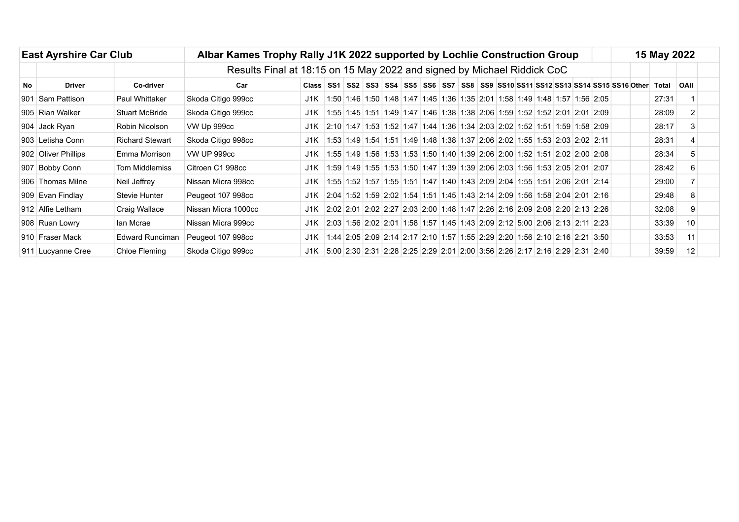|     | <b>East Ayrshire Car Club</b> |                                                                         | Albar Kames Trophy Rally J1K 2022 supported by Lochlie Construction Group |              |                                                                            |  |  |                                                                            |  |  |  |  |  |  |  |  |  | 15 May 2022 |  |                                                                                                              |                   |  |
|-----|-------------------------------|-------------------------------------------------------------------------|---------------------------------------------------------------------------|--------------|----------------------------------------------------------------------------|--|--|----------------------------------------------------------------------------|--|--|--|--|--|--|--|--|--|-------------|--|--------------------------------------------------------------------------------------------------------------|-------------------|--|
|     |                               | Results Final at 18:15 on 15 May 2022 and signed by Michael Riddick CoC |                                                                           |              |                                                                            |  |  |                                                                            |  |  |  |  |  |  |  |  |  |             |  |                                                                                                              |                   |  |
| No. | <b>Driver</b>                 | Co-driver                                                               | Car                                                                       | <b>Class</b> |                                                                            |  |  |                                                                            |  |  |  |  |  |  |  |  |  |             |  | SS1   SS2   SS3   SS4   SS5   SS6   SS7   SS8   SS9  SS10  SS11  SS12  SS13  SS14  SS15  SS16  Other   Total | OAII              |  |
|     | 901 Sam Pattison              | <b>Paul Whittaker</b>                                                   | Skoda Citigo 999cc                                                        | J1K          |                                                                            |  |  | 1:50 1:46 1:50 1:48 1:47 1:45 1:36 1:35 2:01 1:58 1:49 1:48 1:57 1:56 2:05 |  |  |  |  |  |  |  |  |  |             |  | 27:31                                                                                                        |                   |  |
|     | 905 Rian Walker               | <b>Stuart McBride</b>                                                   | Skoda Citigo 999cc                                                        | J1K          |                                                                            |  |  | 1:55 1:45 1:51 1:49 1:47 1:46 1:38 1:38 2:06 1:59 1:52 1:52 2:01 2:01 2:09 |  |  |  |  |  |  |  |  |  |             |  | 28:09                                                                                                        |                   |  |
|     | 904 Jack Ryan                 | Robin Nicolson                                                          | VW Up 999cc                                                               | J1K          | 2:10 1:47 1:53 1:52 1:47 1:44 1:36 1:34 2:03 2:02 1:52 1:51 1:59 1:58 2:09 |  |  |                                                                            |  |  |  |  |  |  |  |  |  |             |  | 28:17                                                                                                        |                   |  |
|     | 903 Letisha Conn              | <b>Richard Stewart</b>                                                  | Skoda Citigo 998cc                                                        | J1K          |                                                                            |  |  | 1:53 1:49 1:54 1:51 1:49 1:48 1:38 1:37 2:06 2:02 1:55 1:53 2:03 2:02 2:11 |  |  |  |  |  |  |  |  |  |             |  | 28:31                                                                                                        |                   |  |
|     | 902 Oliver Phillips           | Emma Morrison                                                           | <b>VW UP 999cc</b>                                                        | J1K          |                                                                            |  |  | 1:55 1:49 1:56 1:53 1:53 1:50 1:40 1:39 2:06 2:00 1:52 1:51 2:02 2:00 2:08 |  |  |  |  |  |  |  |  |  |             |  | 28:34                                                                                                        |                   |  |
|     | 907 Bobby Conn                | <b>Tom Middlemiss</b>                                                   | Citroen C1 998cc                                                          | J1K          |                                                                            |  |  | 1:59 1:49 1:55 1:53 1:50 1:47 1:39 1:39 2:06 2:03 1:56 1:53 2:05 2:01 2:07 |  |  |  |  |  |  |  |  |  |             |  | 28:42                                                                                                        |                   |  |
|     | 906 Thomas Milne              | Neil Jeffrey                                                            | Nissan Micra 998cc                                                        | J1K          |                                                                            |  |  | 1:55 1:52 1:57 1:55 1:51 1:47 1:40 1:43 2:09 2:04 1:55 1:51 2:06 2:01 2:14 |  |  |  |  |  |  |  |  |  |             |  | 29:00                                                                                                        |                   |  |
|     | 909 Evan Findlay              | Stevie Hunter                                                           | Peugeot 107 998cc                                                         | J1K          | 2:04 1:52 1:59 2:02 1:54 1:51 1:45 1:43 2:14 2:09 1:56 1:58 2:04 2:01 2:16 |  |  |                                                                            |  |  |  |  |  |  |  |  |  |             |  | 29:48                                                                                                        |                   |  |
|     | 912 Alfie Letham              | Craig Wallace                                                           | Nissan Micra 1000cc                                                       | J1K          | 2:02 2:01 2:02 2:27 2:03 2:00 1:48 1:47 2:26 2:16 2:09 2:08 2:20 2:13 2:26 |  |  |                                                                            |  |  |  |  |  |  |  |  |  |             |  | 32:08                                                                                                        |                   |  |
|     | 908 Ruan Lowry                | lan Mcrae                                                               | Nissan Micra 999cc                                                        | J1K          |                                                                            |  |  | 2:03 1:56 2:02 2:01 1:58 1:57 1:45 1:43 2:09 2:12 5:00 2:06 2:13 2:11 2:23 |  |  |  |  |  |  |  |  |  |             |  | 33:39                                                                                                        | 10                |  |
|     | 910 Fraser Mack               | Edward Runciman                                                         | Peugeot 107 998cc                                                         | J1K          |                                                                            |  |  | 1:44 2:05 2:09 2:14 2:17 2:10 1:57 1:55 2:29 2:20 1:56 2:10 2:16 2:21 3:50 |  |  |  |  |  |  |  |  |  |             |  | 33:53                                                                                                        | 11                |  |
|     | 911 Lucyanne Cree             | Chloe Fleming                                                           | Skoda Citigo 999cc                                                        | J1K          |                                                                            |  |  | 5:00 2:30 2:31 2:28 2:25 2:29 2:01 2:00 3:56 2:26 2:17 2:16 2:29 2:31 2:40 |  |  |  |  |  |  |  |  |  |             |  | 39:59                                                                                                        | $12 \overline{ }$ |  |